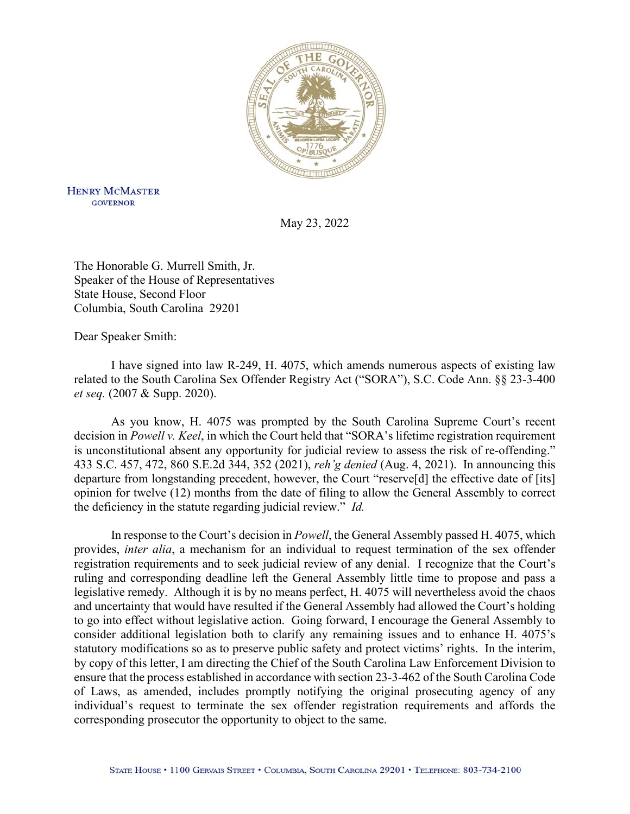

**HENRY MCMASTER GOVERNOR** 

May 23, 2022

The Honorable G. Murrell Smith, Jr. Speaker of the House of Representatives State House, Second Floor Columbia, South Carolina 29201

Dear Speaker Smith:

I have signed into law R-249, H. 4075, which amends numerous aspects of existing law related to the South Carolina Sex Offender Registry Act ("SORA"), S.C. Code Ann. §§ 23-3-400 *et seq.* (2007 & Supp. 2020).

As you know, H. 4075 was prompted by the South Carolina Supreme Court's recent decision in *Powell v. Keel*, in which the Court held that "SORA's lifetime registration requirement is unconstitutional absent any opportunity for judicial review to assess the risk of re-offending." 433 S.C. 457, 472, 860 S.E.2d 344, 352 (2021), *reh'g denied* (Aug. 4, 2021). In announcing this departure from longstanding precedent, however, the Court "reserve[d] the effective date of [its] opinion for twelve (12) months from the date of filing to allow the General Assembly to correct the deficiency in the statute regarding judicial review." *Id.*

In response to the Court's decision in *Powell*, the General Assembly passed H. 4075, which provides, *inter alia*, a mechanism for an individual to request termination of the sex offender registration requirements and to seek judicial review of any denial. I recognize that the Court's ruling and corresponding deadline left the General Assembly little time to propose and pass a legislative remedy. Although it is by no means perfect, H. 4075 will nevertheless avoid the chaos and uncertainty that would have resulted if the General Assembly had allowed the Court's holding to go into effect without legislative action. Going forward, I encourage the General Assembly to consider additional legislation both to clarify any remaining issues and to enhance H. 4075's statutory modifications so as to preserve public safety and protect victims' rights. In the interim, by copy of this letter, I am directing the Chief of the South Carolina Law Enforcement Division to ensure that the process established in accordance with section 23-3-462 of the South Carolina Code of Laws, as amended, includes promptly notifying the original prosecuting agency of any individual's request to terminate the sex offender registration requirements and affords the corresponding prosecutor the opportunity to object to the same.